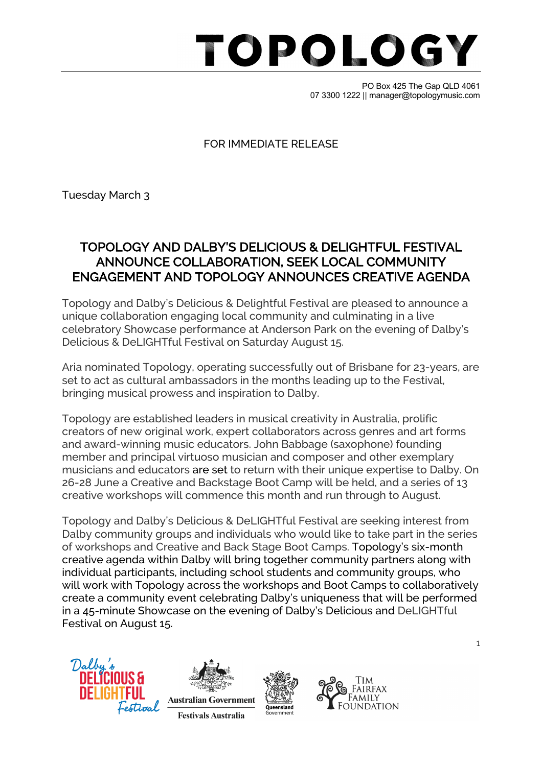## TOPOLOG

PO Box 425 The Gap QLD 4061 07 3300 1222 || manager@topologymusic.com

### FOR IMMEDIATE RELEASE

Tuesday March 3

### TOPOLOGY AND DALBY'S DELICIOUS & DELIGHTFUL FESTIVAL ANNOUNCE COLLABORATION, SEEK LOCAL COMMUNITY ENGAGEMENT AND TOPOLOGY ANNOUNCES CREATIVE AGENDA

Topology and Dalby's Delicious & Delightful Festival are pleased to announce a unique collaboration engaging local community and culminating in a live celebratory Showcase performance at Anderson Park on the evening of Dalby's Delicious & DeLIGHTful Festival on Saturday August 15.

Aria nominated Topology, operating successfully out of Brisbane for 23-years, are set to act as cultural ambassadors in the months leading up to the Festival, bringing musical prowess and inspiration to Dalby.

Topology are established leaders in musical creativity in Australia, prolific creators of new original work, expert collaborators across genres and art forms and award-winning music educators. John Babbage (saxophone) founding member and principal virtuoso musician and composer and other exemplary musicians and educators are set to return with their unique expertise to Dalby. On 26-28 June a Creative and Backstage Boot Camp will be held, and a series of 13 creative workshops will commence this month and run through to August.

Topology and Dalby's Delicious & DeLIGHTful Festival are seeking interest from Dalby community groups and individuals who would like to take part in the series of workshops and Creative and Back Stage Boot Camps. Topology's six-month creative agenda within Dalby will bring together community partners along with individual participants, including school students and community groups, who will work with Topology across the workshops and Boot Camps to collaboratively create a community event celebrating Dalby's uniqueness that will be performed in a 45-minute Showcase on the evening of Dalby's Delicious and DeLIGHTful Festival on August 15.









1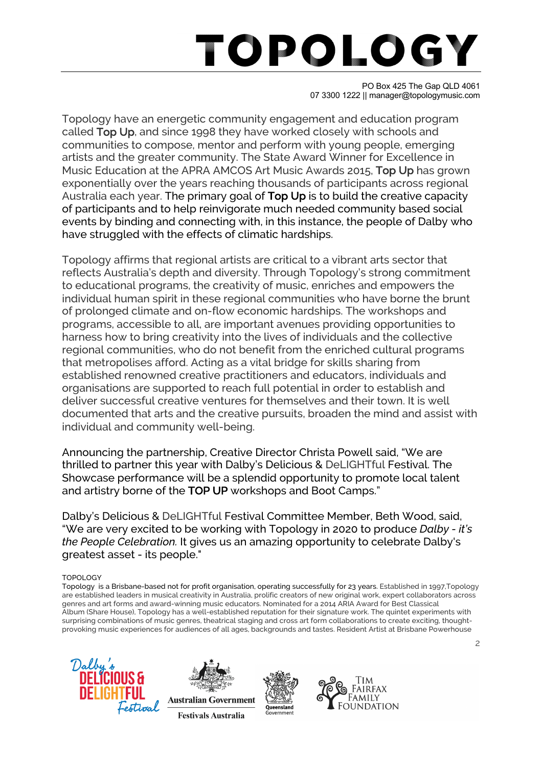# TOPOLOG

PO Box 425 The Gap QLD 4061 07 3300 1222 || manager@topologymusic.com

Topology have an energetic community engagement and education program called Top Up, and since 1998 they have worked closely with schools and communities to compose, mentor and perform with young people, emerging artists and the greater community. The State Award Winner for Excellence in Music Education at the APRA AMCOS Art Music Awards 2015, Top Up has grown exponentially over the years reaching thousands of participants across regional Australia each year. The primary goal of Top Up is to build the creative capacity of participants and to help reinvigorate much needed community based social events by binding and connecting with, in this instance, the people of Dalby who have struggled with the effects of climatic hardships.

Topology affirms that regional artists are critical to a vibrant arts sector that reflects Australia's depth and diversity. Through Topology's strong commitment to educational programs, the creativity of music, enriches and empowers the individual human spirit in these regional communities who have borne the brunt of prolonged climate and on-flow economic hardships. The workshops and programs, accessible to all, are important avenues providing opportunities to harness how to bring creativity into the lives of individuals and the collective regional communities, who do not benefit from the enriched cultural programs that metropolises afford. Acting as a vital bridge for skills sharing from established renowned creative practitioners and educators, individuals and organisations are supported to reach full potential in order to establish and deliver successful creative ventures for themselves and their town. It is well documented that arts and the creative pursuits, broaden the mind and assist with individual and community well-being.

Announcing the partnership, Creative Director Christa Powell said, "We are thrilled to partner this year with Dalby's Delicious & DeLIGHTful Festival. The Showcase performance will be a splendid opportunity to promote local talent and artistry borne of the TOP UP workshops and Boot Camps."

Dalby's Delicious & DeLIGHTful Festival Committee Member, Beth Wood, said, "We are very excited to be working with Topology in 2020 to produce *Dalby - it's the People Celebration.* It gives us an amazing opportunity to celebrate Dalby's greatest asset - its people."

### TOPOLOGY

Topology is a Brisbane-based not for profit organisation, operating successfully for 23 years. Established in 1997,Topology are established leaders in musical creativity in Australia, prolific creators of new original work, expert collaborators across genres and art forms and award-winning music educators. Nominated for a 2014 ARIA Award for Best Classical Album (Share House), Topology has a well-established reputation for their signature work. The quintet experiments with surprising combinations of music genres, theatrical staging and cross art form collaborations to create exciting, thoughtprovoking music experiences for audiences of all ages, backgrounds and tastes. Resident Artist at Brisbane Powerhouse









2